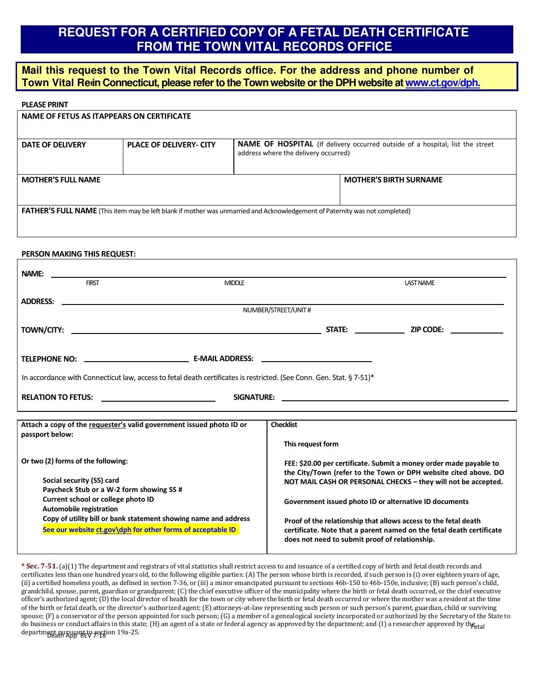# **REQUEST FOR A CERTIFIED COPY OF A FETAL DEATH CERTIFICATE FROM THE TOWN VITAL RECORDS OFFICE**

### **Mail this request to the Town Vital Records office. For the address and phone number of**  Town Vital Redin Connecticut, please refer to the Town website or the DPH website a[t www.ct.gov/dph.](http://www.ct.gov/dph.)

#### **PLEASE PRINT**

| NAME OF FETUS AS ITAPPEARS ON CERTIFICATE                                                                                          |                                |                                                                                                                              |                               |  |  |  |  |
|------------------------------------------------------------------------------------------------------------------------------------|--------------------------------|------------------------------------------------------------------------------------------------------------------------------|-------------------------------|--|--|--|--|
| DATE OF DELIVERY                                                                                                                   | <b>PLACE OF DELIVERY- CITY</b> | <b>NAME OF HOSPITAL</b> (If delivery occurred outside of a hospital, list the street<br>address where the delivery occurred) |                               |  |  |  |  |
| <b>MOTHER'S FULL NAME</b>                                                                                                          |                                |                                                                                                                              | <b>MOTHER'S BIRTH SURNAME</b> |  |  |  |  |
| <b>FATHER'S FULL NAME</b> (This item may be left blank if mother was unmarried and Acknowledgement of Paternity was not completed) |                                |                                                                                                                              |                               |  |  |  |  |

#### **PERSON MAKING THIS REQUEST:**

|                                                                                                                      | <b>FIRST</b>         | <b>MIDDLE</b> |  | <b>LAST NAME</b> |  |  |
|----------------------------------------------------------------------------------------------------------------------|----------------------|---------------|--|------------------|--|--|
|                                                                                                                      |                      |               |  |                  |  |  |
|                                                                                                                      | NUMBER/STREET/UNIT # |               |  |                  |  |  |
|                                                                                                                      |                      |               |  |                  |  |  |
|                                                                                                                      |                      |               |  |                  |  |  |
|                                                                                                                      |                      |               |  |                  |  |  |
|                                                                                                                      |                      |               |  |                  |  |  |
| In accordance with Connecticut law, access to fetal death certificates is restricted. (See Conn. Gen. Stat. § 7-51)* |                      |               |  |                  |  |  |
| RELATION TO FETUS: <u>__________________________________</u>                                                         |                      |               |  |                  |  |  |
|                                                                                                                      |                      |               |  |                  |  |  |

| Attach a copy of the requester's valid government issued photo ID or                                                                                                                                                                                                                                                                                                                                                                                                                                                                                                                                                                                                                                                                                                                                                                                                                                                                                                                                                                                                                                                                                                                                                                          | <b>Checklist</b>                                                                                                                                                                                                                                                                                                                                                                                                                                              |  |  |  |
|-----------------------------------------------------------------------------------------------------------------------------------------------------------------------------------------------------------------------------------------------------------------------------------------------------------------------------------------------------------------------------------------------------------------------------------------------------------------------------------------------------------------------------------------------------------------------------------------------------------------------------------------------------------------------------------------------------------------------------------------------------------------------------------------------------------------------------------------------------------------------------------------------------------------------------------------------------------------------------------------------------------------------------------------------------------------------------------------------------------------------------------------------------------------------------------------------------------------------------------------------|---------------------------------------------------------------------------------------------------------------------------------------------------------------------------------------------------------------------------------------------------------------------------------------------------------------------------------------------------------------------------------------------------------------------------------------------------------------|--|--|--|
| passport below:                                                                                                                                                                                                                                                                                                                                                                                                                                                                                                                                                                                                                                                                                                                                                                                                                                                                                                                                                                                                                                                                                                                                                                                                                               |                                                                                                                                                                                                                                                                                                                                                                                                                                                               |  |  |  |
|                                                                                                                                                                                                                                                                                                                                                                                                                                                                                                                                                                                                                                                                                                                                                                                                                                                                                                                                                                                                                                                                                                                                                                                                                                               | This request form                                                                                                                                                                                                                                                                                                                                                                                                                                             |  |  |  |
| Or two (2) forms of the following:<br>Social security (SS) card<br>Paycheck Stub or a W-2 form showing SS #<br>Current school or college photo ID<br>Automobile registration<br>Copy of utility bill or bank statement showing name and address<br>See our website ct.gov\dph for other forms of acceptable ID                                                                                                                                                                                                                                                                                                                                                                                                                                                                                                                                                                                                                                                                                                                                                                                                                                                                                                                                | FEE: \$20.00 per certificate. Submit a money order made payable to<br>the City/Town (refer to the Town or DPH website cited above. DO<br>NOT MAIL CASH OR PERSONAL CHECKS - they will not be accepted.<br>Government issued photo ID or alternative ID documents<br>Proof of the relationship that allows access to the fetal death<br>certificate. Note that a parent named on the fetal death certificate<br>does not need to submit proof of relationship. |  |  |  |
| <b>* Sec. 7-51.</b> (a)(1) The department and registrars of vital statistics shall restrict access to and issuance of a certified copy of birth and fetal death records and<br>certificates less than one hundred years old, to the following eligible parties: (A) The person whose birth is recorded, if such person is (i) over eighteen years of age,<br>(ii) a certified homeless youth, as defined in section 7-36, or (iii) a minor emancipated pursuant to sections 46b-150 to 46b-150e, inclusive; (B) such person's child,<br>grandchild, spouse, parent, guardian or grandparent; (C) the chief executive officer of the municipality where the birth or fetal death occurred, or the chief executive<br>officer's authorized agent; (D) the local director of health for the town or city where the birth or fetal death occurred or where the mother was a resident at the time<br>of the birth or fetal death, or the director's authorized agent; (E) attorneys-at-law representing such person or such person's parent, guardian, child or surviving<br>snouse: (F) a conservator of the person appointed for such person: (G) a member of a genealogical society incorporated or authorized by the Secretary of the State to |                                                                                                                                                                                                                                                                                                                                                                                                                                                               |  |  |  |

do business or conduct affairs in this state; (H) an agent of a state or federal agency as approved by the department; and (I) a researcher approved by the  $f_{\text{etal}}$ department pursuant to section 19a-25.<br>-**\* Sec. 7-51.** (a)(1) The department and registrars of vital statistics shall restrict access to and issuance of a certified copy of birth and fetal death records and certificates less than one hundred years old, to the following eligible parties: (A) The person whose birth is recorded, if such person is (i) over eighteen years of age, (ii) a certified homeless youth, as defined in section 7-36, or (iii) a minor emancipated pursuant to sections 46b-150 to 46b-150e, inclusive; (B) such person's child, grandchild, spouse, parent, guardian or grandparent; (C) the chief executive officer of the municipality where the birth or fetal death occurred, or the chief executive officer's authorized agent; (D) the local director of health for the town or city where the birth or fetal death occurred or where the mother was a resident at the time of the birth or fetal death, or the director's authorized agent; (E) attorneys-at-law representing such person or such person's parent, guardian, child or surviving spouse; (F) a conservator of the person appointed for such person; (G) a member of a genealogical society incorporated or authorized by the Secretary of the State to